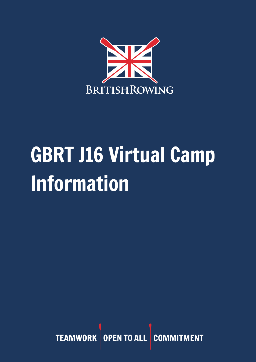

# GBRT J16 Virtual Camp Information

TEAMWORK OPEN TO ALL COMM **MENT**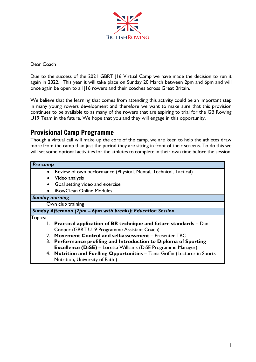

Dear Coach

Due to the success of the 2021 GBRT J16 Virtual Camp we have made the decision to run it again in 2022. This year it will take place on Sunday 20 March between 2pm and 6pm and will once again be open to all J16 rowers and their coaches across Great Britain.

We believe that the learning that comes from attending this activity could be an important step in many young rowers development and therefore we want to make sure that this provision continues to be available to as many of the rowers that are aspiring to trial for the GB Rowing U19 Team in the future. We hope that you and they will engage in this opportunity.

## Provisional Camp Programme

Though a virtual call will make up the core of the camp, we are keen to help the athletes draw more from the camp than just the period they are sitting in front of their screens. To do this we will set some optional activities for the athletes to complete in their own time before the session.

| Pre camp                                                    |                                                                                                               |
|-------------------------------------------------------------|---------------------------------------------------------------------------------------------------------------|
|                                                             | • Review of own performance (Physical, Mental, Technical, Tactical)                                           |
|                                                             | Video analysis                                                                                                |
|                                                             | Goal setting video and exercise                                                                               |
|                                                             | <b>iRowClean Online Modules</b>                                                                               |
| <b>Sunday morning</b>                                       |                                                                                                               |
| Own club training                                           |                                                                                                               |
| Sunday Afternoon (2pm - 6pm with breaks): Education Session |                                                                                                               |
| Topics:                                                     |                                                                                                               |
|                                                             | $\mathsf{l}$ . Practical application of BR technique and future standards – Dan                               |
|                                                             | Cooper (GBRT U19 Programme Assistant Coach)                                                                   |
|                                                             | 2. Movement Control and self-assessment - Presenter TBC                                                       |
|                                                             | 3. Performance profiling and Introduction to Diploma of Sporting                                              |
|                                                             | <b>Excellence (DiSE)</b> – Loretta Williams (DiSE Programme Manager)                                          |
|                                                             | 4. Nutrition and Fuelling Opportunities - Tania Griffin (Lecturer in Sports<br>Nutrition, University of Bath) |